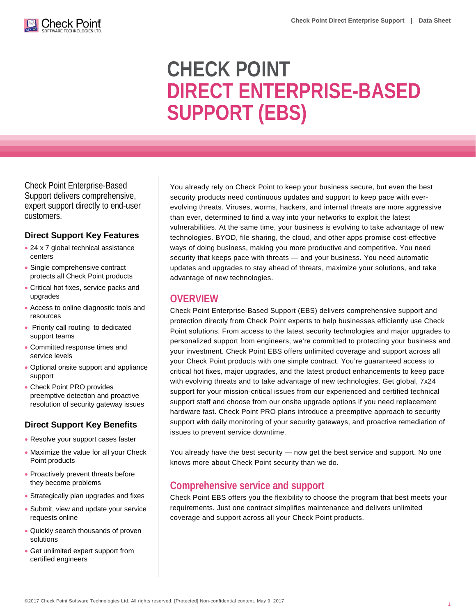

# **CHECK POINT DIRECT ENTERPRISE-BASED SUPPORT (EBS)**

Check Point Enterprise-Based Support delivers comprehensive, expert support directly to end-user customers.

#### **Direct Support Key Features**

- 24 x 7 global technical assistance centers
- Single comprehensive contract protects all Check Point products
- Critical hot fixes, service packs and upgrades
- Access to online diagnostic tools and resources
- Priority call routing to dedicated support teams
- Committed response times and service levels
- Optional onsite support and appliance support
- Check Point PRO provides preemptive detection and proactive resolution of security gateway issues

#### **Direct Support Key Benefits**

- Resolve your support cases faster
- Maximize the value for all your Check Point products
- Proactively prevent threats before they become problems
- Strategically plan upgrades and fixes
- Submit, view and update your service requests online
- Quickly search thousands of proven solutions
- Get unlimited expert support from certified engineers

You already rely on Check Point to keep your business secure, but even the best security products need continuous updates and support to keep pace with everevolving threats. Viruses, worms, hackers, and internal threats are more aggressive than ever, determined to find a way into your networks to exploit the latest vulnerabilities. At the same time, your business is evolving to take advantage of new technologies. BYOD, file sharing, the cloud, and other apps promise cost-effective ways of doing business, making you more productive and competitive. You need security that keeps pace with threats — and your business. You need automatic updates and upgrades to stay ahead of threats, maximize your solutions, and take advantage of new technologies.

## **OVERVIEW**

Check Point Enterprise-Based Support (EBS) delivers comprehensive support and protection directly from Check Point experts to help businesses efficiently use Check Point solutions. From access to the latest security technologies and major upgrades to personalized support from engineers, we're committed to protecting your business and your investment. Check Point EBS offers unlimited coverage and support across all your Check Point products with one simple contract. You're guaranteed access to critical hot fixes, major upgrades, and the latest product enhancements to keep pace with evolving threats and to take advantage of new technologies. Get global, 7x24 support for your mission-critical issues from our experienced and certified technical support staff and choose from our onsite upgrade options if you need replacement hardware fast. Check Point PRO plans introduce a preemptive approach to security support with daily monitoring of your security gateways, and proactive remediation of issues to prevent service downtime.

You already have the best security — now get the best service and support. No one knows more about Check Point security than we do.

# **Comprehensive service and support**

Check Point EBS offers you the flexibility to choose the program that best meets your requirements. Just one contract simplifies maintenance and delivers unlimited coverage and support across all your Check Point products.